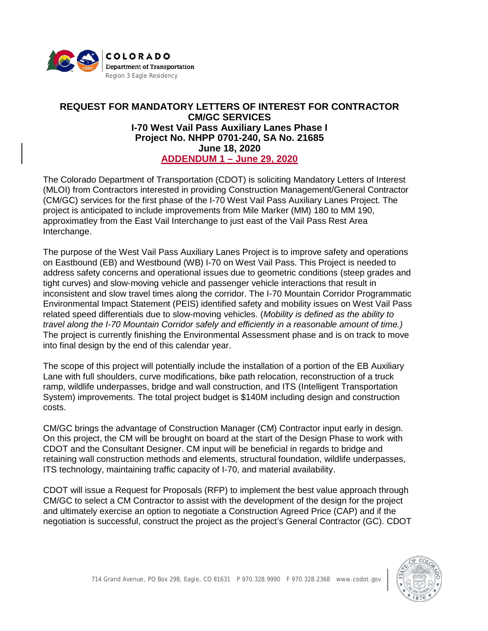

## **REQUEST FOR MANDATORY LETTERS OF INTEREST FOR CONTRACTOR CM/GC SERVICES I-70 West Vail Pass Auxiliary Lanes Phase I Project No. NHPP 0701-240, SA No. 21685 June 18, 2020 ADDENDUM 1 – June 29, 2020**

The Colorado Department of Transportation (CDOT) is soliciting Mandatory Letters of Interest (MLOI) from Contractors interested in providing Construction Management/General Contractor (CM/GC) services for the first phase of the I-70 West Vail Pass Auxiliary Lanes Project. The project is anticipated to include improvements from Mile Marker (MM) 180 to MM 190, approximatley from the East Vail Interchange to just east of the Vail Pass Rest Area Interchange.

The purpose of the West Vail Pass Auxiliary Lanes Project is to improve safety and operations on Eastbound (EB) and Westbound (WB) I-70 on West Vail Pass. This Project is needed to address safety concerns and operational issues due to geometric conditions (steep grades and tight curves) and slow-moving vehicle and passenger vehicle interactions that result in inconsistent and slow travel times along the corridor. The I-70 Mountain Corridor Programmatic Environmental Impact Statement (PEIS) identified safety and mobility issues on West Vail Pass related speed differentials due to slow-moving vehicles. (*Mobility is defined as the ability to travel along the I-70 Mountain Corridor safely and efficiently in a reasonable amount of time.)* The project is currently finishing the Environmental Assessment phase and is on track to move into final design by the end of this calendar year.

The scope of this project will potentially include the installation of a portion of the EB Auxiliary Lane with full shoulders, curve modifications, bike path relocation, reconstruction of a truck ramp, wildlife underpasses, bridge and wall construction, and ITS (Intelligent Transportation System) improvements. The total project budget is \$140M including design and construction costs.

CM/GC brings the advantage of Construction Manager (CM) Contractor input early in design. On this project, the CM will be brought on board at the start of the Design Phase to work with CDOT and the Consultant Designer. CM input will be beneficial in regards to bridge and retaining wall construction methods and elements, structural foundation, wildlife underpasses, ITS technology, maintaining traffic capacity of I-70, and material availability.

CDOT will issue a Request for Proposals (RFP) to implement the best value approach through CM/GC to select a CM Contractor to assist with the development of the design for the project and ultimately exercise an option to negotiate a Construction Agreed Price (CAP) and if the negotiation is successful, construct the project as the project's General Contractor (GC). CDOT

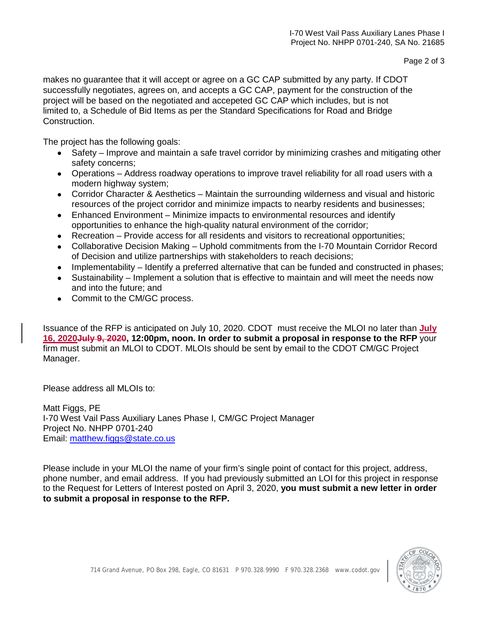makes no guarantee that it will accept or agree on a GC CAP submitted by any party. If CDOT successfully negotiates, agrees on, and accepts a GC CAP, payment for the construction of the project will be based on the negotiated and accepeted GC CAP which includes, but is not limited to, a Schedule of Bid Items as per the Standard Specifications for Road and Bridge Construction.

The project has the following goals:

- Safety Improve and maintain a safe travel corridor by minimizing crashes and mitigating other safety concerns;
- Operations Address roadway operations to improve travel reliability for all road users with a modern highway system;
- Corridor Character & Aesthetics Maintain the surrounding wilderness and visual and historic resources of the project corridor and minimize impacts to nearby residents and businesses;
- Enhanced Environment Minimize impacts to environmental resources and identify opportunities to enhance the high-quality natural environment of the corridor;
- Recreation Provide access for all residents and visitors to recreational opportunities;
- Collaborative Decision Making Uphold commitments from the I-70 Mountain Corridor Record of Decision and utilize partnerships with stakeholders to reach decisions;
- Implementability Identify a preferred alternative that can be funded and constructed in phases;
- Sustainability Implement a solution that is effective to maintain and will meet the needs now and into the future; and
- Commit to the CM/GC process.

Issuance of the RFP is anticipated on July 10, 2020. CDOT must receive the MLOI no later than **July 16, 2020July 9, 2020, 12:00pm, noon. In order to submit a proposal in response to the RFP** your firm must submit an MLOI to CDOT. MLOIs should be sent by email to the CDOT CM/GC Project Manager.

Please address all MLOIs to:

Matt Figgs, PE I-70 West Vail Pass Auxiliary Lanes Phase I, CM/GC Project Manager Project No. NHPP 0701-240 Email: [matthew.figgs@state.co.us](mailto:matthew.figgs@state.co.us)

Please include in your MLOI the name of your firm's single point of contact for this project, address, phone number, and email address. If you had previously submitted an LOI for this project in response to the Request for Letters of Interest posted on April 3, 2020, **you must submit a new letter in order to submit a proposal in response to the RFP.**